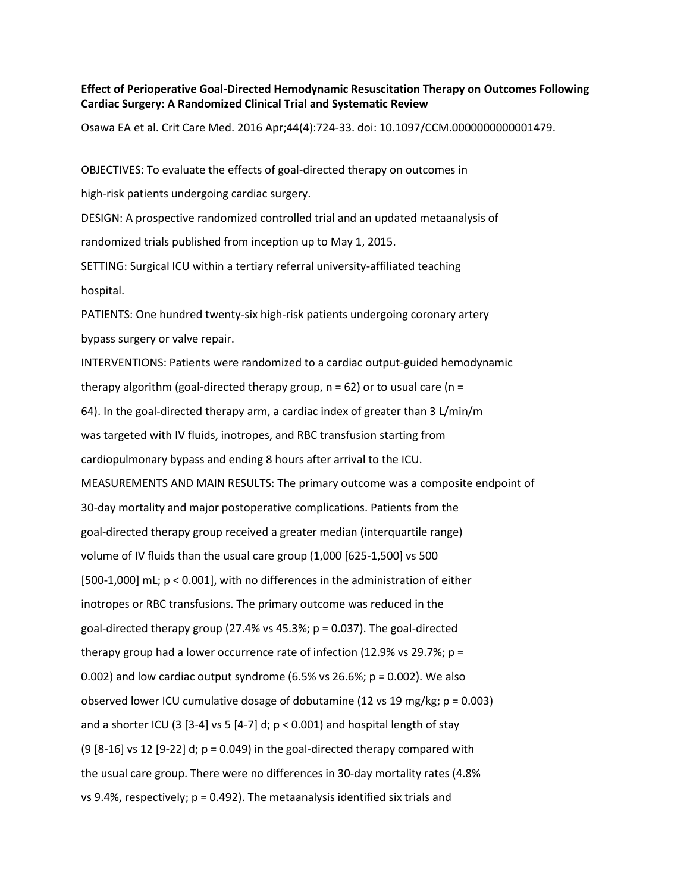## **Effect of Perioperative Goal-Directed Hemodynamic Resuscitation Therapy on Outcomes Following Cardiac Surgery: A Randomized Clinical Trial and Systematic Review**

Osawa EA et al. Crit Care Med. 2016 Apr;44(4):724-33. doi: 10.1097/CCM.0000000000001479.

OBJECTIVES: To evaluate the effects of goal-directed therapy on outcomes in

high-risk patients undergoing cardiac surgery.

DESIGN: A prospective randomized controlled trial and an updated metaanalysis of randomized trials published from inception up to May 1, 2015.

SETTING: Surgical ICU within a tertiary referral university-affiliated teaching hospital.

PATIENTS: One hundred twenty-six high-risk patients undergoing coronary artery bypass surgery or valve repair.

INTERVENTIONS: Patients were randomized to a cardiac output-guided hemodynamic therapy algorithm (goal-directed therapy group,  $n = 62$ ) or to usual care ( $n =$ 64). In the goal-directed therapy arm, a cardiac index of greater than 3 L/min/m was targeted with IV fluids, inotropes, and RBC transfusion starting from cardiopulmonary bypass and ending 8 hours after arrival to the ICU. MEASUREMENTS AND MAIN RESULTS: The primary outcome was a composite endpoint of 30-day mortality and major postoperative complications. Patients from the goal-directed therapy group received a greater median (interquartile range) volume of IV fluids than the usual care group (1,000 [625-1,500] vs 500 [500-1,000] mL; p < 0.001], with no differences in the administration of either inotropes or RBC transfusions. The primary outcome was reduced in the goal-directed therapy group (27.4% vs 45.3%;  $p = 0.037$ ). The goal-directed therapy group had a lower occurrence rate of infection (12.9% vs 29.7%; p = 0.002) and low cardiac output syndrome (6.5% vs 26.6%;  $p = 0.002$ ). We also observed lower ICU cumulative dosage of dobutamine (12 vs 19 mg/kg; p = 0.003) and a shorter ICU (3 [3-4] vs 5 [4-7] d;  $p < 0.001$ ) and hospital length of stay (9  $[8-16]$  vs 12  $[9-22]$  d; p = 0.049) in the goal-directed therapy compared with the usual care group. There were no differences in 30-day mortality rates (4.8% vs 9.4%, respectively; p = 0.492). The metaanalysis identified six trials and